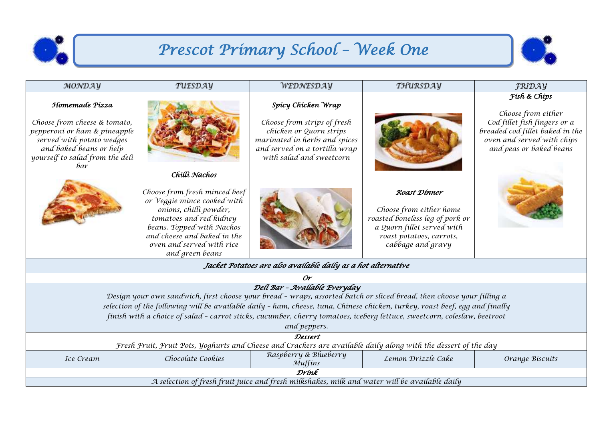

## *Prescot Primary School – Week One*



| MONDAY                                                                                                                                                                                                                                                                                                                                                                                                                             | TUESDAY                                                                                                                                                                                                                       | WEDNESDAY                                                                                                                                                                  | THURSDAY                                                                                                                                                  | <b>FRIDAY</b>                                                                                                                                                  |  |  |  |
|------------------------------------------------------------------------------------------------------------------------------------------------------------------------------------------------------------------------------------------------------------------------------------------------------------------------------------------------------------------------------------------------------------------------------------|-------------------------------------------------------------------------------------------------------------------------------------------------------------------------------------------------------------------------------|----------------------------------------------------------------------------------------------------------------------------------------------------------------------------|-----------------------------------------------------------------------------------------------------------------------------------------------------------|----------------------------------------------------------------------------------------------------------------------------------------------------------------|--|--|--|
| Homemade Pízza<br>Choose from cheese & tomato,<br>pepperoni or ham & pineapple<br>served with potato wedges<br>and baked beans or help<br>yourself to salad from the deli<br>bar                                                                                                                                                                                                                                                   | Chilli Nachos                                                                                                                                                                                                                 | Spicy Chicken Wrap<br>Choose from strips of fresh<br>chicken or Quorn strips<br>marinated in herbs and spices<br>and served on a tortilla wrap<br>with salad and sweetcorn |                                                                                                                                                           | Físh & Chíps<br>Choose from either<br>Cod fillet fish fingers or a<br>breaded cod fillet baked in the<br>oven and served with chips<br>and peas or baked beans |  |  |  |
|                                                                                                                                                                                                                                                                                                                                                                                                                                    | Choose from fresh minced beef<br>or Veggie mince cooked with<br>onions, chilli powder,<br>tomatoes and red kidney<br>beans. Topped with Nachos<br>and cheese and baked in the<br>oven and served with rice<br>and green beans |                                                                                                                                                                            | Roast Dinner<br>Choose from either home<br>roasted boneless leg of pork or<br>a Quorn fillet served with<br>roast potatoes, carrots,<br>cabbage and gravy |                                                                                                                                                                |  |  |  |
| Jacket Potatoes are also available daily as a hot alternative                                                                                                                                                                                                                                                                                                                                                                      |                                                                                                                                                                                                                               |                                                                                                                                                                            |                                                                                                                                                           |                                                                                                                                                                |  |  |  |
| Or                                                                                                                                                                                                                                                                                                                                                                                                                                 |                                                                                                                                                                                                                               |                                                                                                                                                                            |                                                                                                                                                           |                                                                                                                                                                |  |  |  |
| Delí Bar - Avaílable Everyday<br>Design your own sandwich, first choose your bread - wraps, assorted batch or sliced bread, then choose your filling a<br>selection of the following will be available daily - ham, cheese, tuna, Chinese chicken, turkey, roast beef, egg and finally<br>finish with a choice of salad - carrot sticks, cucumber, cherry tomatoes, iceberg lettuce, sweetcorn, coleslaw, beetroot<br>and peppers. |                                                                                                                                                                                                                               |                                                                                                                                                                            |                                                                                                                                                           |                                                                                                                                                                |  |  |  |
| Dessert                                                                                                                                                                                                                                                                                                                                                                                                                            |                                                                                                                                                                                                                               |                                                                                                                                                                            |                                                                                                                                                           |                                                                                                                                                                |  |  |  |
| Fresh Fruit, Fruit Pots, Yoghurts and Cheese and Crackers are available daily along with the dessert of the day                                                                                                                                                                                                                                                                                                                    |                                                                                                                                                                                                                               |                                                                                                                                                                            |                                                                                                                                                           |                                                                                                                                                                |  |  |  |
| Ice Cream                                                                                                                                                                                                                                                                                                                                                                                                                          | Chocolate Cookies                                                                                                                                                                                                             | Raspberry & Blueberry<br>Muffins                                                                                                                                           | Lemon Drizzle Cake                                                                                                                                        | Orange Biscuits                                                                                                                                                |  |  |  |
| Drínk                                                                                                                                                                                                                                                                                                                                                                                                                              |                                                                                                                                                                                                                               |                                                                                                                                                                            |                                                                                                                                                           |                                                                                                                                                                |  |  |  |

*A selection of fresh fruit juice and fresh milkshakes, milk and water will be available daily*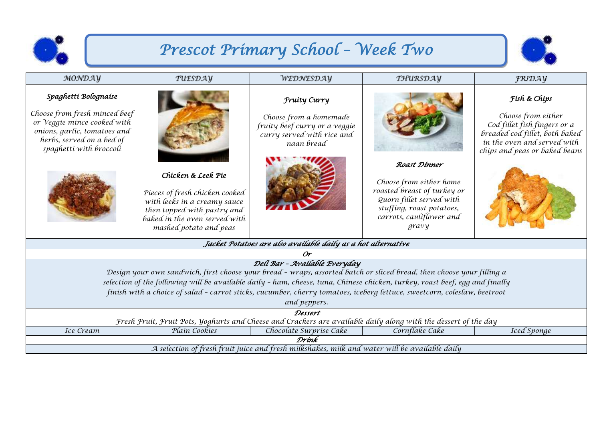

## *Prescot Primary School – Week Two*



| MONDAY                                                                                                                                                                                                                                                                                                                                                                                                                             | TUESDAY                                                                                                                                                                        | WEDNESDAY                                                                                                                  | THURSDAY                                                                                                                                                             | <b>FRIDAY</b>                                                                                                                                                        |  |  |  |
|------------------------------------------------------------------------------------------------------------------------------------------------------------------------------------------------------------------------------------------------------------------------------------------------------------------------------------------------------------------------------------------------------------------------------------|--------------------------------------------------------------------------------------------------------------------------------------------------------------------------------|----------------------------------------------------------------------------------------------------------------------------|----------------------------------------------------------------------------------------------------------------------------------------------------------------------|----------------------------------------------------------------------------------------------------------------------------------------------------------------------|--|--|--|
| Spaghettí Bolognaise<br>Choose from fresh minced beef<br>or Veggie mince cooked with<br>onions, garlic, tomatoes and<br>herbs, served on a bed of<br>spaghetti with broccoli                                                                                                                                                                                                                                                       | Chicken & Leek Pie<br>Pieces of fresh chicken cooked<br>with leeks in a creamy sauce<br>then topped with pastry and<br>baked in the oven served with<br>mashed potato and peas | <b>Fruity Curry</b><br>Choose from a homemade<br>fruity beef curry or a veggie<br>curry served with rice and<br>naan bread | Roast Dinner<br>Choose from either home<br>roasted breast of turkey or<br>Quorn fillet served with<br>stuffing, roast potatoes,<br>carrots, cauliflower and<br>gravy | Físh & Chíps<br>Choose from either<br>Cod fillet fish fingers or a<br>breaded cod fillet, both baked<br>in the oven and served with<br>chips and peas or baked beans |  |  |  |
| Jacket Potatoes are also avaílable daíly as a hot alternatíve                                                                                                                                                                                                                                                                                                                                                                      |                                                                                                                                                                                |                                                                                                                            |                                                                                                                                                                      |                                                                                                                                                                      |  |  |  |
| 0r                                                                                                                                                                                                                                                                                                                                                                                                                                 |                                                                                                                                                                                |                                                                                                                            |                                                                                                                                                                      |                                                                                                                                                                      |  |  |  |
| Deli Bar - Available Everyday<br>Design your own sandwich, first choose your bread - wraps, assorted batch or sliced bread, then choose your filling a<br>selection of the following will be available daily - ham, cheese, tuna, Chinese chicken, turkey, roast beef, egg and finally<br>finish with a choice of salad - carrot sticks, cucumber, cherry tomatoes, iceberg lettuce, sweetcorn, coleslaw, beetroot<br>and peppers. |                                                                                                                                                                                |                                                                                                                            |                                                                                                                                                                      |                                                                                                                                                                      |  |  |  |
| Dessert                                                                                                                                                                                                                                                                                                                                                                                                                            |                                                                                                                                                                                |                                                                                                                            |                                                                                                                                                                      |                                                                                                                                                                      |  |  |  |
| Fresh Fruit, Fruit Pots, Yoghurts and Cheese and Crackers are available daily along with the dessert of the day                                                                                                                                                                                                                                                                                                                    |                                                                                                                                                                                |                                                                                                                            |                                                                                                                                                                      |                                                                                                                                                                      |  |  |  |
| Ice Cream                                                                                                                                                                                                                                                                                                                                                                                                                          | Plain Cookies                                                                                                                                                                  | Chocolate Surprise Cake                                                                                                    | Cornflake Cake                                                                                                                                                       | Iced Sponge                                                                                                                                                          |  |  |  |
| Drínk                                                                                                                                                                                                                                                                                                                                                                                                                              |                                                                                                                                                                                |                                                                                                                            |                                                                                                                                                                      |                                                                                                                                                                      |  |  |  |
| A selection of fresh fruit juice and fresh milkshakes, milk and water will be available daily                                                                                                                                                                                                                                                                                                                                      |                                                                                                                                                                                |                                                                                                                            |                                                                                                                                                                      |                                                                                                                                                                      |  |  |  |